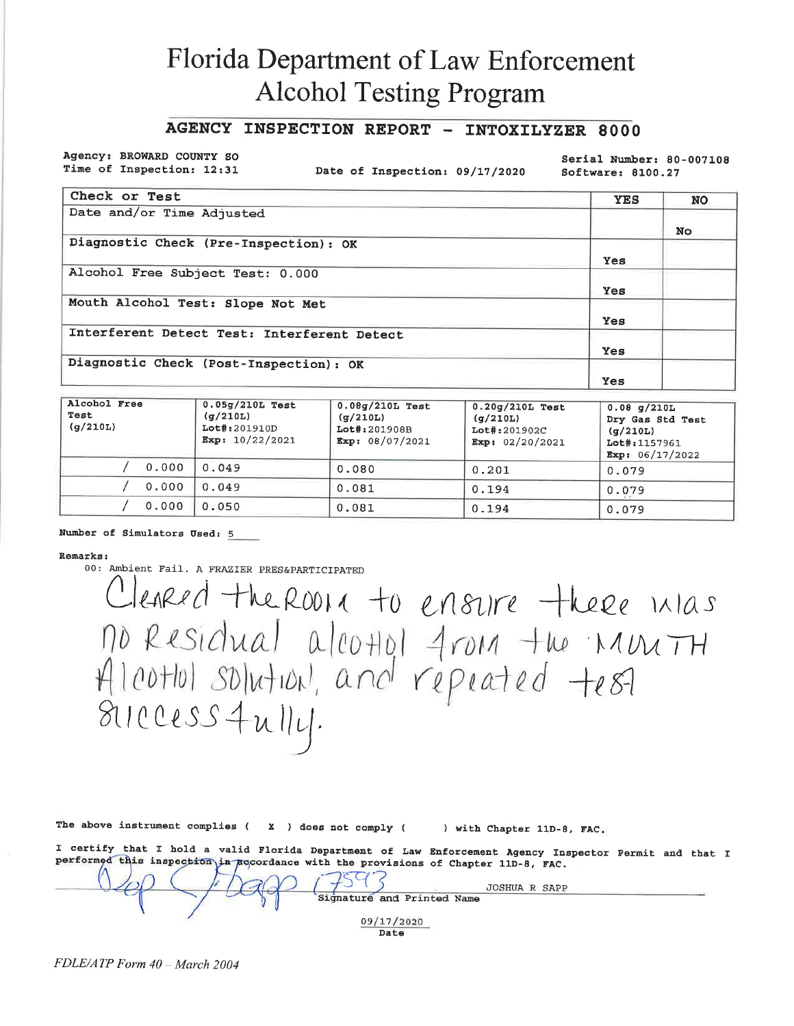# **Florida Department of Law Enforcement Alcohol Testing Program**

### AGENCY INSPECTION REPORT - INTOXILYZER 8000

Agency: BROWARD COUNTY SO Time of Inspection: 12:31

Date of Inspection: 09/17/2020

Serial Number: 80-007108 Software: 8100.27

| Check or Test                               | <b>YES</b> | <b>NO</b> |
|---------------------------------------------|------------|-----------|
| Date and/or Time Adjusted                   |            |           |
|                                             |            | No.       |
| Diagnostic Check (Pre-Inspection): OK       |            |           |
|                                             | <b>Yes</b> |           |
| Alcohol Free Subject Test: 0.000            |            |           |
|                                             | Yes.       |           |
| Mouth Alcohol Test: Slope Not Met           |            |           |
|                                             | Yes.       |           |
| Interferent Detect Test: Interferent Detect |            |           |
|                                             | Yes        |           |
| Diagnostic Check (Post-Inspection): OK      |            |           |
|                                             | Yes        |           |

| Alcohol Free<br>Test<br>(g/210L) | $0.05g/210L$ Test<br>(g/210L)<br>Lot#:201910D<br>Exp: $10/22/2021$ | $0.08q/210L$ Test<br>(g/210L)<br>Lot#:201908B<br>Exp: $08/07/2021$ | $0.20q/210L$ Test<br>(q/210L)<br>Lot#:201902C<br>Exp: $02/20/2021$ | 0.08 g/210L<br>Dry Gas Std Test<br>(q/210L)<br>Lot#:1157961<br>Exp: $06/17/2022$ |
|----------------------------------|--------------------------------------------------------------------|--------------------------------------------------------------------|--------------------------------------------------------------------|----------------------------------------------------------------------------------|
| 0.000                            | 0.049                                                              | 0.080                                                              | 0.201                                                              | 0.079                                                                            |
| 0.000                            | 0.049                                                              | 0.081                                                              | 0.194                                                              | 0.079                                                                            |
| 0.000                            | 0.050                                                              | 0.081                                                              | 0.194                                                              | 0.079                                                                            |

Number of Simulators Used: 5

#### Remarks:

00: Ambient Fail. A FRAZIER PRES&PARTICIPATED

Cleared the RODIX to ensure there inlas no Residual alcottol from the Munith<br>Alcottol solution, and repeated test 811 ccess 4 u 114.

|  | The above instrument complies ( |  |  |  | X ) does not comply ( |  | ) with Chapter 11D-8, FAC. |  |  |
|--|---------------------------------|--|--|--|-----------------------|--|----------------------------|--|--|
|  |                                 |  |  |  |                       |  |                            |  |  |

I certify that I hold a valid Florida Department of Law Enforcement Agency Inspector Permit and that I performed this inspection in accordance with the provisions of Chapter 11D-8, FAC.  $\Lambda$ 

| JOSHUA R SAPP              |  |
|----------------------------|--|
| Signature and Printed Name |  |
| 09/17/2020                 |  |
| Date                       |  |